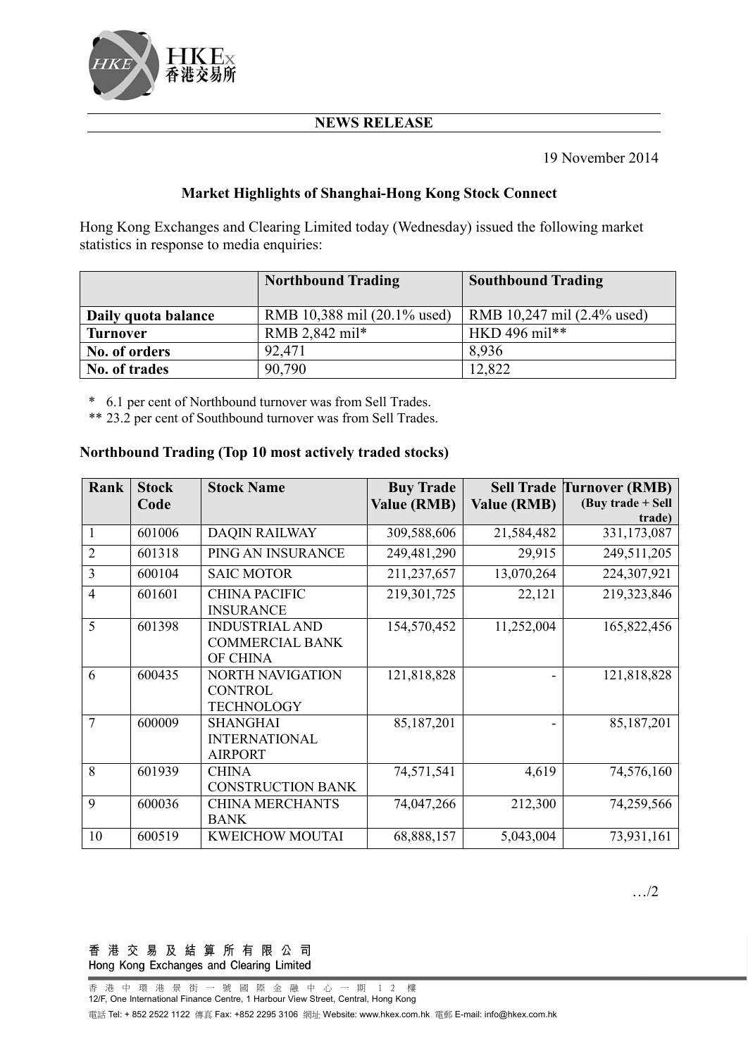

## **NEWS RELEASE**

19 November 2014

## **Market Highlights of Shanghai-Hong Kong Stock Connect**

Hong Kong Exchanges and Clearing Limited today (Wednesday) issued the following market statistics in response to media enquiries:

|                     | <b>Northbound Trading</b>   | <b>Southbound Trading</b>  |
|---------------------|-----------------------------|----------------------------|
| Daily quota balance | RMB 10,388 mil (20.1% used) | RMB 10,247 mil (2.4% used) |
| <b>Turnover</b>     | RMB 2,842 mil*              | HKD 496 mil**              |
| No. of orders       | 92.471                      | 8.936                      |
| No. of trades       | 90,790                      | 12,822                     |

\* 6.1 per cent of Northbound turnover was from Sell Trades.

\*\* 23.2 per cent of Southbound turnover was from Sell Trades.

### **Northbound Trading (Top 10 most actively traded stocks)**

| Rank           | <b>Stock</b><br>Code | <b>Stock Name</b>                                              | <b>Buy Trade</b><br><b>Value (RMB)</b> | <b>Value (RMB)</b> | <b>Sell Trade Turnover (RMB)</b><br>(Buy trade $+$ Sell |
|----------------|----------------------|----------------------------------------------------------------|----------------------------------------|--------------------|---------------------------------------------------------|
|                |                      |                                                                |                                        |                    | trade)                                                  |
| 1              | 601006               | <b>DAQIN RAILWAY</b>                                           | 309,588,606                            | 21,584,482         | 331,173,087                                             |
| 2              | 601318               | PING AN INSURANCE                                              | 249,481,290                            | 29,915             | 249,511,205                                             |
| 3              | 600104               | <b>SAIC MOTOR</b>                                              | 211, 237, 657                          | 13,070,264         | 224,307,921                                             |
| $\overline{4}$ | 601601               | <b>CHINA PACIFIC</b><br><b>INSURANCE</b>                       | 219,301,725                            | 22,121             | 219,323,846                                             |
| 5              | 601398               | <b>INDUSTRIAL AND</b><br><b>COMMERCIAL BANK</b><br>OF CHINA    | 154,570,452                            | 11,252,004         | 165,822,456                                             |
| 6              | 600435               | <b>NORTH NAVIGATION</b><br><b>CONTROL</b><br><b>TECHNOLOGY</b> | 121,818,828                            |                    | 121,818,828                                             |
| 7              | 600009               | <b>SHANGHAI</b><br><b>INTERNATIONAL</b><br><b>AIRPORT</b>      | 85,187,201                             |                    | 85,187,201                                              |
| 8              | 601939               | <b>CHINA</b><br><b>CONSTRUCTION BANK</b>                       | 74,571,541                             | 4,619              | 74,576,160                                              |
| 9              | 600036               | <b>CHINA MERCHANTS</b><br><b>BANK</b>                          | 74,047,266                             | 212,300            | 74,259,566                                              |
| 10             | 600519               | <b>KWEICHOW MOUTAI</b>                                         | 68,888,157                             | 5,043,004          | 73,931,161                                              |

…/2

#### 香港交易及結算所有限公司 Hong Kong Exchanges and Clearing Limited